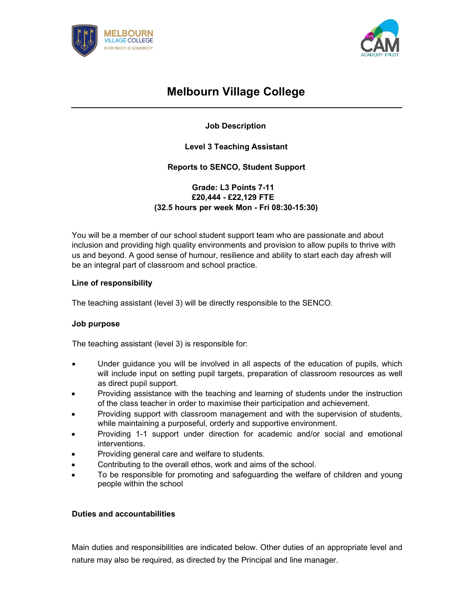



# Melbourn Village College

# Job Description

## Level 3 Teaching Assistant

## Reports to SENCO, Student Support

## Grade: L3 Points 7-11 £20,444 - £22,129 FTE (32.5 hours per week Mon - Fri 08:30-15:30)

You will be a member of our school student support team who are passionate and about inclusion and providing high quality environments and provision to allow pupils to thrive with us and beyond. A good sense of humour, resilience and ability to start each day afresh will be an integral part of classroom and school practice.

## Line of responsibility

The teaching assistant (level 3) will be directly responsible to the SENCO.

### Job purpose

The teaching assistant (level 3) is responsible for:

- Under guidance you will be involved in all aspects of the education of pupils, which will include input on setting pupil targets, preparation of classroom resources as well as direct pupil support.
- Providing assistance with the teaching and learning of students under the instruction of the class teacher in order to maximise their participation and achievement.
- Providing support with classroom management and with the supervision of students, while maintaining a purposeful, orderly and supportive environment.
- Providing 1-1 support under direction for academic and/or social and emotional interventions.
- Providing general care and welfare to students.
- Contributing to the overall ethos, work and aims of the school.
- To be responsible for promoting and safeguarding the welfare of children and young people within the school

### Duties and accountabilities

Main duties and responsibilities are indicated below. Other duties of an appropriate level and nature may also be required, as directed by the Principal and line manager.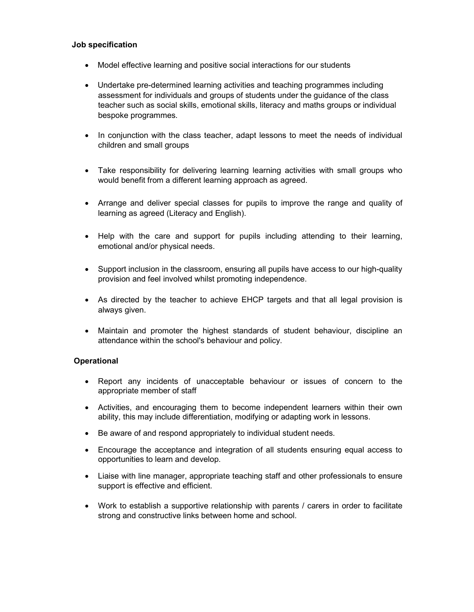#### Job specification

- Model effective learning and positive social interactions for our students
- Undertake pre-determined learning activities and teaching programmes including assessment for individuals and groups of students under the guidance of the class teacher such as social skills, emotional skills, literacy and maths groups or individual bespoke programmes.
- In conjunction with the class teacher, adapt lessons to meet the needs of individual children and small groups
- Take responsibility for delivering learning learning activities with small groups who would benefit from a different learning approach as agreed.
- Arrange and deliver special classes for pupils to improve the range and quality of learning as agreed (Literacy and English).
- Help with the care and support for pupils including attending to their learning, emotional and/or physical needs.
- Support inclusion in the classroom, ensuring all pupils have access to our high-quality provision and feel involved whilst promoting independence.
- As directed by the teacher to achieve EHCP targets and that all legal provision is always given.
- Maintain and promoter the highest standards of student behaviour, discipline an attendance within the school's behaviour and policy.

#### **Operational**

- Report any incidents of unacceptable behaviour or issues of concern to the appropriate member of staff
- Activities, and encouraging them to become independent learners within their own ability, this may include differentiation, modifying or adapting work in lessons.
- Be aware of and respond appropriately to individual student needs.
- Encourage the acceptance and integration of all students ensuring equal access to opportunities to learn and develop.
- Liaise with line manager, appropriate teaching staff and other professionals to ensure support is effective and efficient.
- Work to establish a supportive relationship with parents / carers in order to facilitate strong and constructive links between home and school.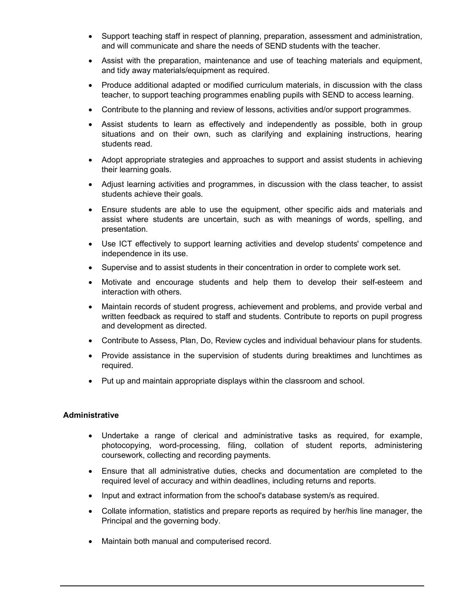- Support teaching staff in respect of planning, preparation, assessment and administration, and will communicate and share the needs of SEND students with the teacher.
- Assist with the preparation, maintenance and use of teaching materials and equipment, and tidy away materials/equipment as required.
- Produce additional adapted or modified curriculum materials, in discussion with the class teacher, to support teaching programmes enabling pupils with SEND to access learning.
- Contribute to the planning and review of lessons, activities and/or support programmes.
- Assist students to learn as effectively and independently as possible, both in group situations and on their own, such as clarifying and explaining instructions, hearing students read.
- Adopt appropriate strategies and approaches to support and assist students in achieving their learning goals.
- Adjust learning activities and programmes, in discussion with the class teacher, to assist students achieve their goals.
- Ensure students are able to use the equipment, other specific aids and materials and assist where students are uncertain, such as with meanings of words, spelling, and presentation.
- Use ICT effectively to support learning activities and develop students' competence and independence in its use.
- Supervise and to assist students in their concentration in order to complete work set.
- Motivate and encourage students and help them to develop their self-esteem and interaction with others.
- Maintain records of student progress, achievement and problems, and provide verbal and written feedback as required to staff and students. Contribute to reports on pupil progress and development as directed.
- Contribute to Assess, Plan, Do, Review cycles and individual behaviour plans for students.
- Provide assistance in the supervision of students during breaktimes and lunchtimes as required.
- Put up and maintain appropriate displays within the classroom and school.

#### Administrative

- Undertake a range of clerical and administrative tasks as required, for example, photocopying, word-processing, filing, collation of student reports, administering coursework, collecting and recording payments.
- Ensure that all administrative duties, checks and documentation are completed to the required level of accuracy and within deadlines, including returns and reports.
- Input and extract information from the school's database system/s as required.
- Collate information, statistics and prepare reports as required by her/his line manager, the Principal and the governing body.
- Maintain both manual and computerised record.